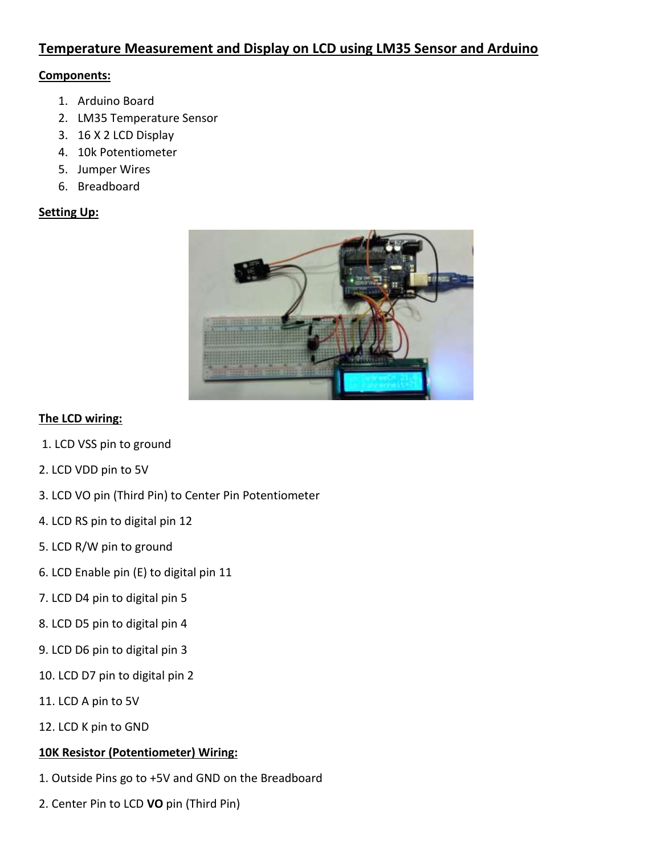# **Temperature Measurement and Display on LCD using LM35 Sensor and Arduino**

### **Components:**

- 1. Arduino Board
- 2. LM35 Temperature Sensor
- 3. 16 X 2 LCD Display
- 4. 10k Potentiometer
- 5. Jumper Wires
- 6. Breadboard

#### **Setting Up:**



#### **The LCD wiring:**

- 1. LCD VSS pin to ground
- 2. LCD VDD pin to 5V
- 3. LCD VO pin (Third Pin) to Center Pin Potentiometer
- 4. LCD RS pin to digital pin 12
- 5. LCD R/W pin to ground
- 6. LCD Enable pin (E) to digital pin 11
- 7. LCD D4 pin to digital pin 5
- 8. LCD D5 pin to digital pin 4
- 9. LCD D6 pin to digital pin 3
- 10. LCD D7 pin to digital pin 2
- 11. LCD A pin to 5V
- 12. LCD K pin to GND

## **10K Resistor (Potentiometer) Wiring:**

- 1. Outside Pins go to +5V and GND on the Breadboard
- 2. Center Pin to LCD **VO** pin (Third Pin)